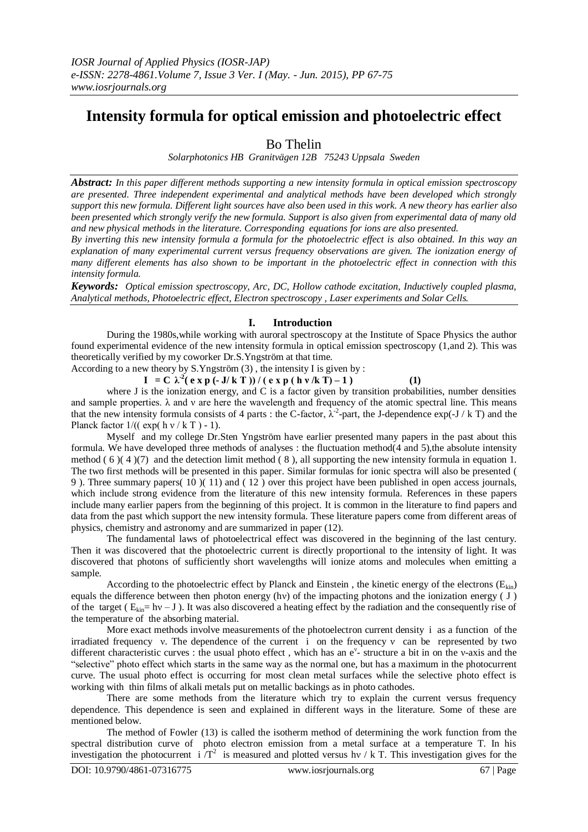# **Intensity formula for optical emission and photoelectric effect**

## Bo Thelin

*Solarphotonics HB Granitvägen 12B 75243 Uppsala Sweden*

*Abstract: In this paper different methods supporting a new intensity formula in optical emission spectroscopy are presented. Three independent experimental and analytical methods have been developed which strongly support this new formula. Different light sources have also been used in this work. A new theory has earlier also been presented which strongly verify the new formula. Support is also given from experimental data of many old and new physical methods in the literature. Corresponding equations for ions are also presented.*

*By inverting this new intensity formula a formula for the photoelectric effect is also obtained. In this way an explanation of many experimental current versus frequency observations are given. The ionization energy of many different elements has also shown to be important in the photoelectric effect in connection with this intensity formula.*

*Keywords: Optical emission spectroscopy, Arc, DC, Hollow cathode excitation, Inductively coupled plasma, Analytical methods, Photoelectric effect, Electron spectroscopy , Laser experiments and Solar Cells.*

### **I. Introduction**

During the 1980s,while working with auroral spectroscopy at the Institute of Space Physics the author found experimental evidence of the new intensity formula in optical emission spectroscopy (1,and 2). This was theoretically verified by my coworker Dr.S.Yngström at that time.

According to a new theory by S.Yngström (3) , the intensity I is given by : **I** = C  $\lambda^2$  ( e x p (- **J/** k T )) / ( e x p ( h v/k T) – 1 ) (1)

where J is the ionization energy, and C is a factor given by transition probabilities, number densities and sample properties.  $\lambda$  and  $\nu$  are here the wavelength and frequency of the atomic spectral line. This means that the new intensity formula consists of 4 parts : the C-factor,  $\lambda^{-2}$ -part, the J-dependence exp(-J / k T) and the Planck factor  $1/((exp(h v / kT) - 1))$ .

Myself and my college Dr.Sten Yngström have earlier presented many papers in the past about this formula. We have developed three methods of analyses : the fluctuation method(4 and 5),the absolute intensity method ( 6 )( 4 )(7) and the detection limit method ( 8 ), all supporting the new intensity formula in equation 1. The two first methods will be presented in this paper. Similar formulas for ionic spectra will also be presented ( 9 ). Three summary papers( 10 )( 11) and ( 12 ) over this project have been published in open access journals, which include strong evidence from the literature of this new intensity formula. References in these papers include many earlier papers from the beginning of this project. It is common in the literature to find papers and data from the past which support the new intensity formula. These literature papers come from different areas of physics, chemistry and astronomy and are summarized in paper (12).

The fundamental laws of photoelectrical effect was discovered in the beginning of the last century. Then it was discovered that the photoelectric current is directly proportional to the intensity of light. It was discovered that photons of sufficiently short wavelengths will ionize atoms and molecules when emitting a sample.

According to the photoelectric effect by Planck and Einstein, the kinetic energy of the electrons ( $E_{kin}$ ) equals the difference between then photon energy (hν) of the impacting photons and the ionization energy ( J ) of the target ( $E_{kin} = hy - J$ ). It was also discovered a heating effect by the radiation and the consequently rise of the temperature of the absorbing material.

More exact methods involve measurements of the photoelectron current density i as a function of the irradiated frequency ν. The dependence of the current i on the frequency ν can be represented by two different characteristic curves : the usual photo effect, which has an e<sup>y</sup>- structure a bit in on the v-axis and the "selective" photo effect which starts in the same way as the normal one, but has a maximum in the photocurrent curve. The usual photo effect is occurring for most clean metal surfaces while the selective photo effect is working with thin films of alkali metals put on metallic backings as in photo cathodes.

There are some methods from the literature which try to explain the current versus frequency dependence. This dependence is seen and explained in different ways in the literature. Some of these are mentioned below.

The method of Fowler (13) is called the isotherm method of determining the work function from the spectral distribution curve of photo electron emission from a metal surface at a temperature T. In his investigation the photocurrent  $i/T^2$  is measured and plotted versus hv / k T. This investigation gives for the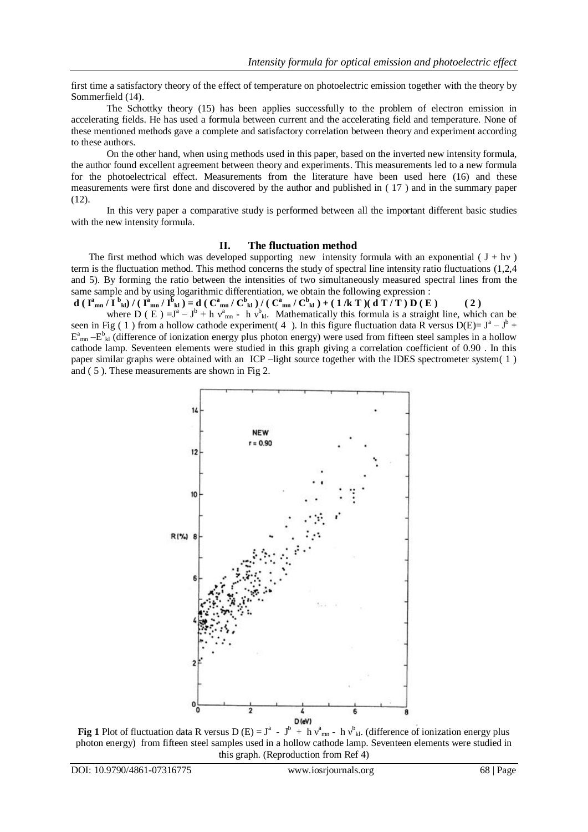first time a satisfactory theory of the effect of temperature on photoelectric emission together with the theory by Sommerfield (14).

The Schottky theory (15) has been applies successfully to the problem of electron emission in accelerating fields. He has used a formula between current and the accelerating field and temperature. None of these mentioned methods gave a complete and satisfactory correlation between theory and experiment according to these authors.

On the other hand, when using methods used in this paper, based on the inverted new intensity formula, the author found excellent agreement between theory and experiments. This measurements led to a new formula for the photoelectrical effect. Measurements from the literature have been used here (16) and these measurements were first done and discovered by the author and published in ( 17 ) and in the summary paper  $(12)$ .

In this very paper a comparative study is performed between all the important different basic studies with the new intensity formula.

#### **II. The fluctuation method**

The first method which was developed supporting new intensity formula with an exponential ( $J + hv$ ) term is the fluctuation method. This method concerns the study of spectral line intensity ratio fluctuations (1,2,4 and 5). By forming the ratio between the intensities of two simultaneously measured spectral lines from the same sample and by using logarithmic differentiation, we obtain the following expression :

d  $(\mathbf{I}_{mn}^{\mathbf{a}}/\mathbf{I}_{kl}^{\mathbf{b}})/(\mathbf{I}_{mn}^{\mathbf{a}}/\mathbf{I}_{kl}^{\mathbf{b}})=d(\mathbf{C}_{mn}^{\mathbf{a}}/\mathbf{C}_{kl}^{\mathbf{b}})/(\mathbf{C}_{mn}^{\mathbf{a}}/\mathbf{C}_{kl}^{\mathbf{b}})+(1/k\mathbf{T})(d\mathbf{T}/\mathbf{T})\mathbf{D}(\mathbf{E})$  (2) where  $D(E) = J^a - J^b + h v_{mn}^a - h v_{kl}^b$ . Mathematically this formula is a straight line, which can be seen in Fig (1) from a hollow cathode experiment (4). In this figure fluctuation data R versus D(E)=  $J^a - J^b$  +  $E^a_{mn} - E^b_{kl}$  (difference of ionization energy plus photon energy) were used from fifteen steel samples in a hollow cathode lamp. Seventeen elements were studied in this graph giving a correlation coefficient of 0.90 . In this paper similar graphs were obtained with an ICP –light source together with the IDES spectrometer system( 1 ) and ( 5 ). These measurements are shown in Fig 2.



**Fig 1** Plot of fluctuation data R versus D (E) =  $J^a$  -  $J^b$  + h  $v_{mn}^a$  - h  $v_{kl}^b$ . (difference of ionization energy plus photon energy) from fifteen steel samples used in a hollow cathode lamp. Seventeen elements were studied in this graph. (Reproduction from Ref 4)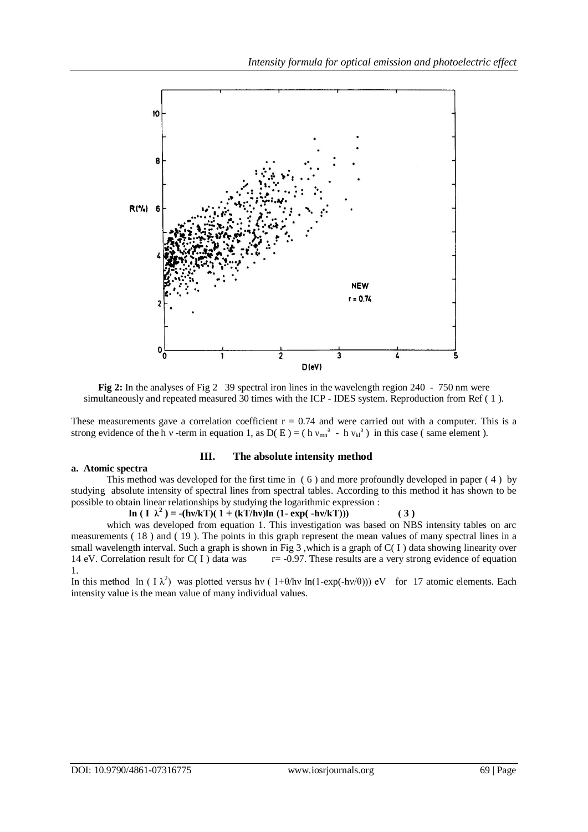

**Fig 2:** In the analyses of Fig 2 39 spectral iron lines in the wavelength region 240 - 750 nm were simultaneously and repeated measured 30 times with the ICP - IDES system. Reproduction from Ref ( 1 ).

These measurements gave a correlation coefficient  $r = 0.74$  and were carried out with a computer. This is a strong evidence of the h v -term in equation 1, as  $D(E) = (h v_{mn}^a - h v_{kl}^a)$  in this case (same element).

#### **a. Atomic spectra**

#### **III. The absolute intensity method**

This method was developed for the first time in ( 6 ) and more profoundly developed in paper ( 4 ) by studying absolute intensity of spectral lines from spectral tables. According to this method it has shown to be possible to obtain linear relationships by studying the logarithmic expression :

 **ln**  $(I \lambda^2) = -(h\sqrt{kT})(1 + (kT/h\nu)ln(1 - exp(-h\nu/kT)))$  (3)

which was developed from equation 1. This investigation was based on NBS intensity tables on arc measurements ( 18 ) and ( 19 ). The points in this graph represent the mean values of many spectral lines in a small wavelength interval. Such a graph is shown in Fig 3, which is a graph of  $C(1)$  data showing linearity over 14 eV. Correlation result for  $C(1)$  data was  $r=-0.97$ . These results are a very strong evidence of equation 1.

In this method ln (  $I \lambda^2$ ) was plotted versus hv (  $1+\theta/hv \ln(1-\exp(-hv/\theta))$ ) eV for 17 atomic elements. Each intensity value is the mean value of many individual values.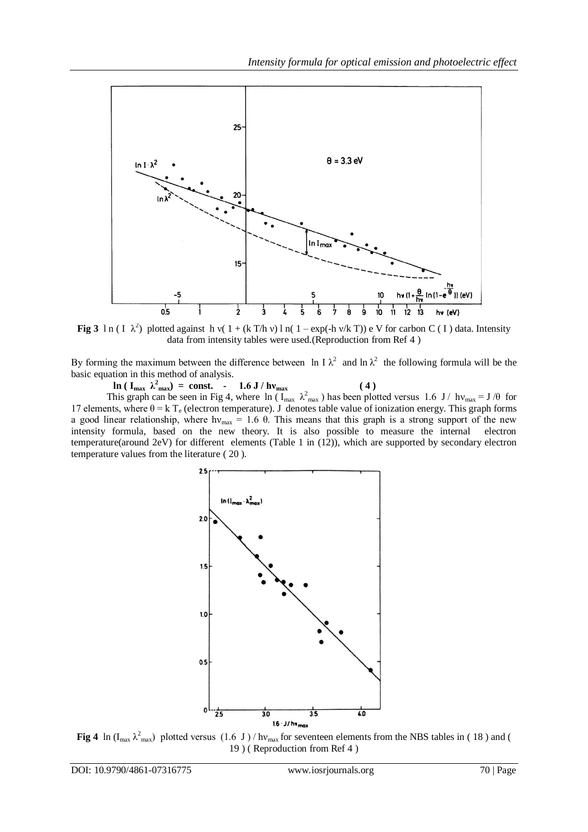

**Fig 3** l n ( I  $\lambda^2$ ) plotted against h v( 1 + (k T/h v) l n( 1 – exp(-h v/k T)) e V for carbon C ( I ) data. Intensity data from intensity tables were used.(Reproduction from Ref 4 )

By forming the maximum between the difference between ln I  $\lambda^2$  and ln  $\lambda^2$  the following formula will be the basic equation in this method of analysis.

 **ln** ( $I_{max} \ \lambda_{max}^2$ ) = const. - 1.6 J / hv<sub>max</sub> (4) This graph can be seen in Fig 4, where  $\ln (I_{max} \lambda_{max}^2)$  has been plotted versus 1.6 J/  $hv_{max} = J/\theta$  for 17 elements, where  $\theta = k T_e$  (electron temperature). J denotes table value of ionization energy. This graph forms a good linear relationship, where hv<sub>max</sub> = 1.6  $\theta$ . This means that this graph is a strong support of the new intensity formula, based on the new theory. It is also possible to measure the internal electron temperature(around 2eV) for different elements (Table 1 in (12)), which are supported by secondary electron temperature values from the literature ( 20 ).



**Fig 4** ln ( $I_{max} \lambda_{max}^2$ ) plotted versus (1.6 J)/ $h_{max}$  for seventeen elements from the NBS tables in (18) and ( 19 ) ( Reproduction from Ref 4 )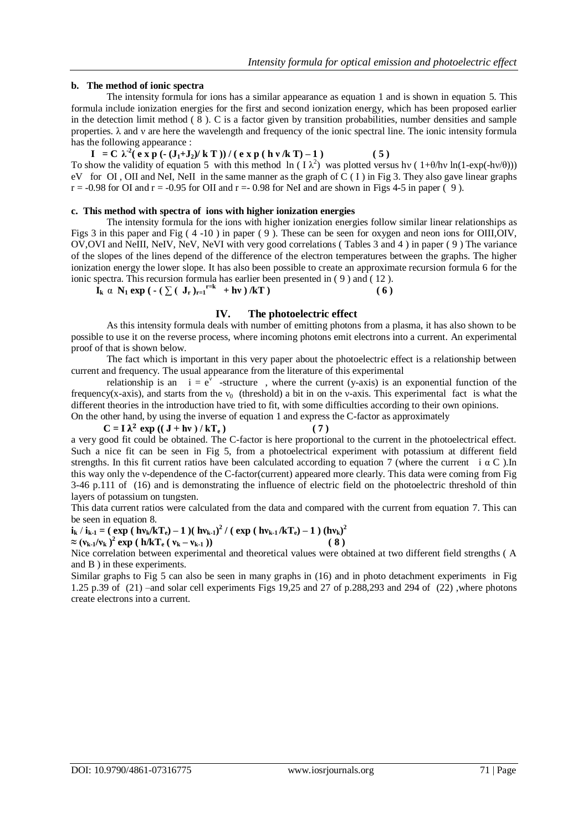#### **b. The method of ionic spectra**

The intensity formula for ions has a similar appearance as equation 1 and is shown in equation 5. This formula include ionization energies for the first and second ionization energy, which has been proposed earlier in the detection limit method  $(8)$ . C is a factor given by transition probabilities, number densities and sample properties. λ and ν are here the wavelength and frequency of the ionic spectral line. The ionic intensity formula has the following appearance :

**I** = C  $\lambda^2$  ( e x p (-  $(J_1+J_2)/kT$  )) / ( e x p ( h v /k T) – 1 ) (5) To show the validity of equation 5 with this method ln  $(1 \lambda^2)$  was plotted versus hv  $(1+ \theta/hv \ln(1-exp(-hv/\theta)))$ eV for OI, OII and NeI, NeII in the same manner as the graph of  $C(1)$  in Fig 3. They also gave linear graphs  $r = -0.98$  for OI and  $r = -0.95$  for OII and  $r = -0.98$  for NeI and are shown in Figs 4-5 in paper (9).

#### **c. This method with spectra of ions with higher ionization energies**

The intensity formula for the ions with higher ionization energies follow similar linear relationships as Figs 3 in this paper and Fig ( 4 -10 ) in paper ( 9 ). These can be seen for oxygen and neon ions for OIII,OIV, OV,OVI and NeIII, NeIV, NeV, NeVI with very good correlations ( Tables 3 and 4 ) in paper ( 9 ) The variance of the slopes of the lines depend of the difference of the electron temperatures between the graphs. The higher ionization energy the lower slope. It has also been possible to create an approximate recursion formula 6 for the ionic spectra. This recursion formula has earlier been presented in ( 9 ) and ( 12 ).

**Ik**  $\alpha$  **N**<sub>1</sub> **exp** ( - (  $\sum$  ( **J**<sub>**r**  $)$ <sub>r=1</sub><sup>r=k</sup> + hv ) /**kT** ) ( **6** )</sub>

#### **IV. The photoelectric effect**

As this intensity formula deals with number of emitting photons from a plasma, it has also shown to be possible to use it on the reverse process, where incoming photons emit electrons into a current. An experimental proof of that is shown below.

The fact which is important in this very paper about the photoelectric effect is a relationship between current and frequency. The usual appearance from the literature of this experimental

relationship is an  $i = e^{v}$  -structure, where the current (y-axis) is an exponential function of the frequency(x-axis), and starts from the  $v_0$  (threshold) a bit in on the v-axis. This experimental fact is what the different theories in the introduction have tried to fit, with some difficulties according to their own opinions.

On the other hand, by using the inverse of equation 1 and express the C-factor as approximately

 $C = I \lambda^2 \exp((J + hv)/kT_e)$  (7) a very good fit could be obtained. The C-factor is here proportional to the current in the photoelectrical effect. Such a nice fit can be seen in Fig 5, from a photoelectrical experiment with potassium at different field strengths. In this fit current ratios have been calculated according to equation 7 (where the current i  $\alpha$  C). In this way only the ν-dependence of the C-factor(current) appeared more clearly. This data were coming from Fig 3-46 p.111 of (16) and is demonstrating the influence of electric field on the photoelectric threshold of thin layers of potassium on tungsten.

This data current ratios were calculated from the data and compared with the current from equation 7. This can be seen in equation 8.

$$
i_k / i_{k-1} = ( \exp ( h v_k / kT_e ) - 1 ) ( h v_{k-1} )^2 / ( \exp ( h v_{k-1} / kT_e ) - 1 ) ( h v_k )^2
$$
  
\approx (v<sub>k-1</sub>/v<sub>k</sub>)<sup>2</sup> exp ( h/kT<sub>e</sub> ( v<sub>k</sub> - v<sub>k-1</sub> ))) (8)

Nice correlation between experimental and theoretical values were obtained at two different field strengths ( A and B ) in these experiments.

Similar graphs to Fig 5 can also be seen in many graphs in (16) and in photo detachment experiments in Fig 1.25 p.39 of (21) –and solar cell experiments Figs 19,25 and 27 of p.288,293 and 294 of (22) ,where photons create electrons into a current.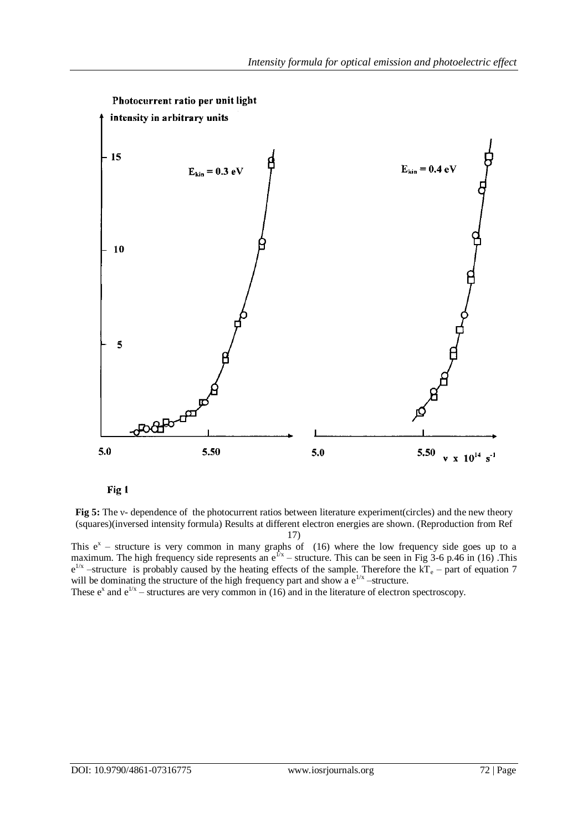



**Fig 5:** The v- dependence of the photocurrent ratios between literature experiment(circles) and the new theory (squares)(inversed intensity formula) Results at different electron energies are shown. (Reproduction from Ref 17)

This  $e^x$  – structure is very common in many graphs of (16) where the low frequency side goes up to a maximum. The high frequency side represents an  $e^{f/x}$  – structure. This can be seen in Fig 3-6 p.46 in (16). This  $e^{1/x}$  –structure is probably caused by the heating effects of the sample. Therefore the  $kT_e$  – part of equation 7 will be dominating the structure of the high frequency part and show a  $e^{1/x}$  -structure.

These  $e^x$  and  $e^{1/x}$  – structures are very common in (16) and in the literature of electron spectroscopy.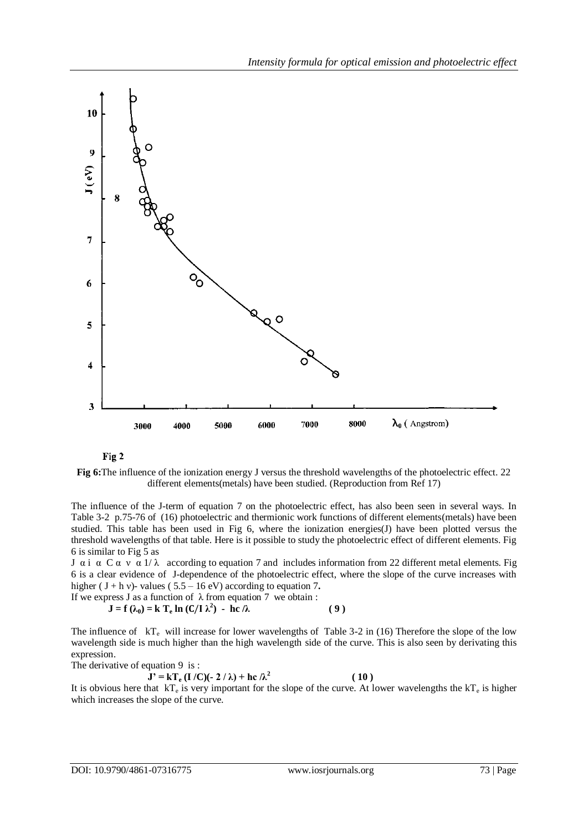



**Fig 6:**The influence of the ionization energy J versus the threshold wavelengths of the photoelectric effect. 22 different elements(metals) have been studied. (Reproduction from Ref 17)

The influence of the J-term of equation 7 on the photoelectric effect, has also been seen in several ways. In Table 3-2 p.75-76 of (16) photoelectric and thermionic work functions of different elements(metals) have been studied. This table has been used in Fig 6, where the ionization energies(J) have been plotted versus the threshold wavelengths of that table. Here is it possible to study the photoelectric effect of different elements. Fig 6 is similar to Fig 5 as

J α i α C α ν α 1/λ according to equation 7 and includes information from 22 different metal elements. Fig 6 is a clear evidence of J-dependence of the photoelectric effect, where the slope of the curve increases with higher  $(J + h v)$ - values  $(5.5 – 16 eV)$  according to equation 7.

If we express J as a function of 
$$
\lambda
$$
 from equation 7 we obtain :  
\n**J** = **f** ( $\lambda_0$ ) = **k T**<sub>e</sub> **ln** (**C**/I  $\lambda^2$ ) - **hc** /  $\lambda$  (9)

The influence of  $kT_e$  will increase for lower wavelengths of Table 3-2 in (16) Therefore the slope of the low wavelength side is much higher than the high wavelength side of the curve. This is also seen by derivating this expression.

The derivative of equation 9 is :

**J**' = kT<sub>e</sub> (I /C)(- 2 / λ) + hc /λ<sup>2</sup>

 **( 10 )**

It is obvious here that  $kT_e$  is very important for the slope of the curve. At lower wavelengths the  $kT_e$  is higher which increases the slope of the curve.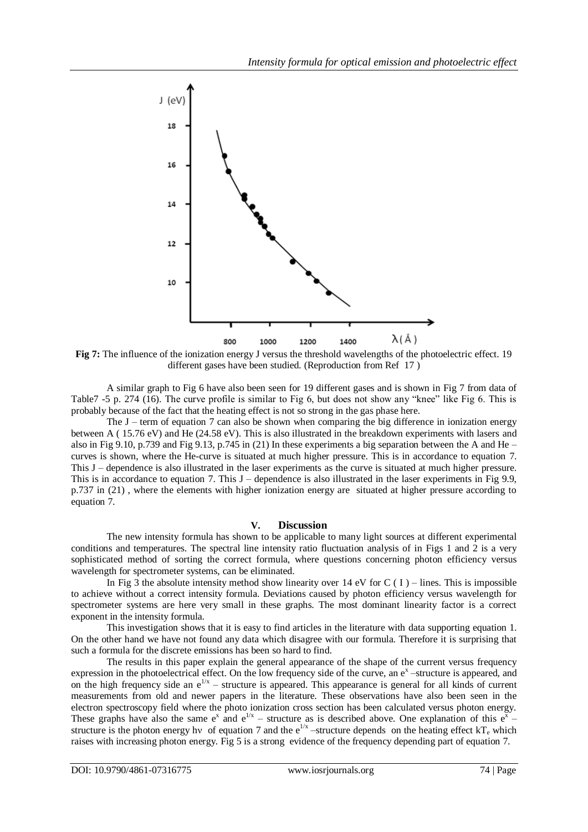

**Fig 7:** The influence of the ionization energy J versus the threshold wavelengths of the photoelectric effect. 19 different gases have been studied. (Reproduction from Ref 17)

A similar graph to Fig 6 have also been seen for 19 different gases and is shown in Fig 7 from data of Table7 -5 p. 274 (16). The curve profile is similar to Fig 6, but does not show any "knee" like Fig 6. This is probably because of the fact that the heating effect is not so strong in the gas phase here.

The  $J$  – term of equation 7 can also be shown when comparing the big difference in ionization energy between A ( 15.76 eV) and He (24.58 eV). This is also illustrated in the breakdown experiments with lasers and also in Fig 9.10, p.739 and Fig 9.13, p.745 in (21) In these experiments a big separation between the A and He – curves is shown, where the He-curve is situated at much higher pressure. This is in accordance to equation 7. This J – dependence is also illustrated in the laser experiments as the curve is situated at much higher pressure. This is in accordance to equation 7. This  $J$  – dependence is also illustrated in the laser experiments in Fig 9.9, p.737 in (21) , where the elements with higher ionization energy are situated at higher pressure according to equation 7.

#### **V. Discussion**

The new intensity formula has shown to be applicable to many light sources at different experimental conditions and temperatures. The spectral line intensity ratio fluctuation analysis of in Figs 1 and 2 is a very sophisticated method of sorting the correct formula, where questions concerning photon efficiency versus wavelength for spectrometer systems, can be eliminated.

In Fig 3 the absolute intensity method show linearity over 14 eV for C (I) – lines. This is impossible to achieve without a correct intensity formula. Deviations caused by photon efficiency versus wavelength for spectrometer systems are here very small in these graphs. The most dominant linearity factor is a correct exponent in the intensity formula.

This investigation shows that it is easy to find articles in the literature with data supporting equation 1. On the other hand we have not found any data which disagree with our formula. Therefore it is surprising that such a formula for the discrete emissions has been so hard to find.

The results in this paper explain the general appearance of the shape of the current versus frequency expression in the photoelectrical effect. On the low frequency side of the curve, an  $e^x$  -structure is appeared, and on the high frequency side an  $e^{1/x}$  – structure is appeared. This appearance is general for all kinds of current measurements from old and newer papers in the literature. These observations have also been seen in the electron spectroscopy field where the photo ionization cross section has been calculated versus photon energy. These graphs have also the same  $e^x$  and  $e^{1/x}$  – structure as is described above. One explanation of this  $e^x$  – structure is the photon energy hv of equation 7 and the  $e^{1/x}$  -structure depends on the heating effect  $kT_e$  which raises with increasing photon energy. Fig 5 is a strong evidence of the frequency depending part of equation 7.